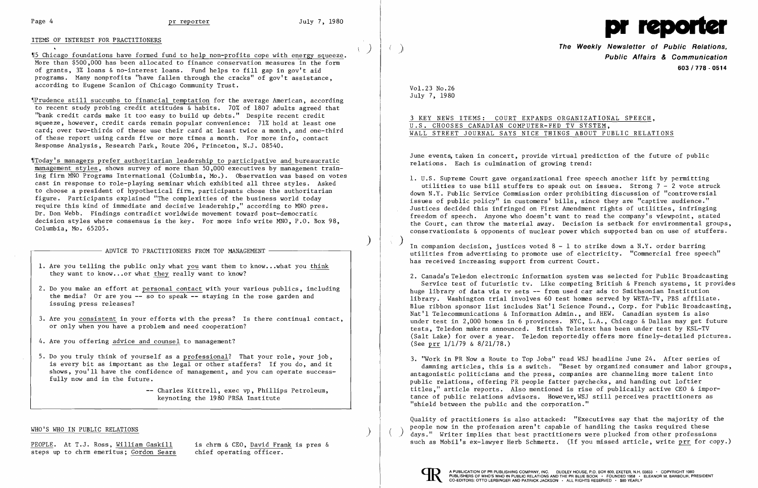### Page 4 **pr reporter pr reporter** July 7, 1980

## ITEMS OF INTEREST FOR PRACTITIONERS

'15 Chicago foundations have formed fund to help non-profits cope with energy squeeze. More than \$500,000 has been allocated to finance conservation measures in the form of grants, 3% loans & no-interest loans. Fund helps to fill gap in gov't aid programs. Many nonprofits "have fallen through the cracks" of gov't assistance, according to Eugene Scanlon of Chicago Community Trust.

 $\P$ Prudence still succumbs to financial temptation for the average American, according to recent study probing credit attitudes & habits. 70% of 1807 adults agreed that "bank credit cards make it too easy to build up debts." Despite recent credit squeeze, however, credit cards remain popular convenience: 71% hold at least one card; over two-thirds of these use their card at least twice a month, and one-third of these report using cards five or more times a month. For more info, contact Response Analysis, Research Park, Route 206, Princeton, N.J. 08540.

- 1. Are you telling the public only what you want them to know...what you think they want to know... or what they really want to know?
- 2. Do you make an effort at personal contact with your various publics, including the media? Or are you  $-$  so to speak  $-$  staving in the rose garden and issuing press releases?
- 3. Are you consistent in your efforts with the press? Is there continual contact, or only when you have a problem and need cooperation?
- 4. Are you offering advice and counsel to management?
- 5. Do you truly think of yourself as a professional? That your role, your job, is every bit as important as the legal or other staffers? If you do, and it shows, you'll have the confidence of management, and you can operate successfully now and in the future.

'fToday's managers prefer authoritarian leadership to participative and bureaucratic management styles, shows survey of more than 50,000 executives by management training firm MNO Programs International (Columbia, Mo.). Observation was based on votes cast in response to role-playing seminar which exhibited all three styles. Asked to choose a president of hypothetical firm, participants chose the authoritarian figure. Participants explained "The complexities of the business world today require this kind of immediate and decisive leadership," according to MNO pres. Dr. Don Webb. Findings contradict worldwide movement toward post-democratic decision styles where consensus is the key. For more info write MNO, P.O. Box 98, Columbia, Mo. 65205.

 $-$  ADVICE TO PRACTITIONERS FROM TOP MANAGEMENT

PEOPLE. At T.J. Ross, William Gaskill is chrm & CEO, David Frank is pres & steps up to chrm emeritus; Gordon Sears chief operating officer.

June events, taken in concert, provide virtual prediction of the future of public relations. Each is culmination of growing trend:

utilities to use bill stuffers to speak out on issues. Strong  $7 - 2$  vote struck down N.Y. Public Service Commission order prohibiting discussion of "controversial Justices decided this infringed on First Amendment rights of utilities, infringing freedom of speech. Anyone who doesn't want to read the company's viewpoint, stated the Court, can throw the material away. Decision is setback for environmental groups, conservationists & opponents of nuclear power which supported ban on use of stuffers.

In companion decision, justices voted  $8$  -  $1$  to strike down a  $N.Y.$  order barring utilities from advertising to promote use of electricity. "Commercial free speech" has received increasing support from current Court.

3. "Work in PR Now a Route to Top Jobs" read WSJ headline June 24. After series of damning articles, this is a switch. "Beset by organized consumer and labor groups, antagonistic politicians and the press, companies are channeling more talent into public relations, offering PR people fatter paychecks, and handing out loftier titles," article reports. Also mentioned is rise of publically active CEO & importance of public relations advisors. However, WSJ still perceives practitioners as "shield between the public and the corporation."

Charles Kittrell, exec vp, Phillips Petroleum, keynoting the 1980 PRSA Institute

### WHO'S WHO IN PUBLIC RELATIONS

Quality of practitioners is also attacked: "Executives say that the majority of the people now in the profession aren't capable of handling the tasks required these days." Writer implies that best practitioners were plucked from other professions such as Mobil's ex-lawyer Herb Schmertz. (If you missed article, write prr for copy.)



)

)<br>I

 $\left( \right)$ 

 $($   $)$ 



) **The Weekly Newsletter of Public Relations, Public Affairs & Communication 603/778 - 0514** 

Vol. 23 No. 26 July 7, 1980

3 KEY NEWS ITEMS: COURT EXPANDS ORGANIZATIONAL SPEECH, U.S. CHOOSES CANADIAN COMPUTER-FED TV SYSTEM, WALL STREET JOURNAL SAYS NICE THINGS ABOUT PUBLIC RELATIONS

)

 $\Delta$ 

1. U.S. Supreme Court gave organizational free speech another lift by permitting issues of public policy" in customers' bills, since they are "captive audience."

2. Canada's Teledon electronic information system was selected for Public Broadcasting Service test of futuristic tv. Like competing British & French systems, it provides huge library of data via ty sets -- from used car ads to Smithsonian Institution library. Washington trial involves 60 test homes served by WETA-TV, PBS affiliate. Blue ribbon sponsor list includes Nat'l Science Found., Corp. for Public Broadcasting, Nat'l Telecommunications & Information Admin., and HEW. Canadian system is also under test in 2,000 homes in 6 provinces. NYC, L.A., Chicago & Dallas may get future tests, Teledon makers announced. British Teletext has been under test by KSL-TV (Salt Lake) for over a year. Teledon reportedly offers more finely-detailed pictures. (See prr 1/1/79 & 8/21/78.)